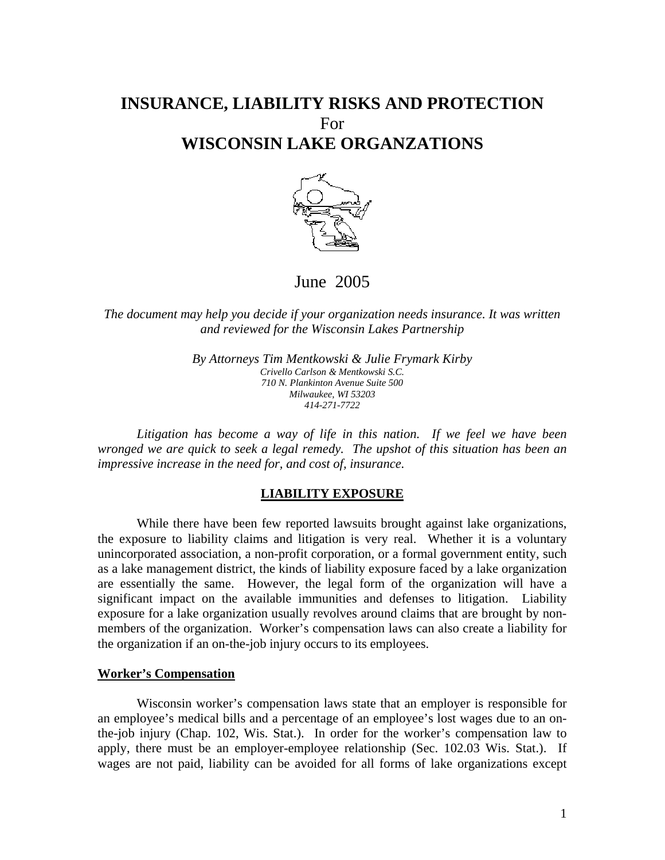# **INSURANCE, LIABILITY RISKS AND PROTECTION**  For **WISCONSIN LAKE ORGANZATIONS**



June 2005

*The document may help you decide if your organization needs insurance. It was written and reviewed for the Wisconsin Lakes Partnership* 

> *By Attorneys Tim Mentkowski & Julie Frymark Kirby Crivello Carlson & Mentkowski S.C. 710 N. Plankinton Avenue Suite 500 Milwaukee, WI 53203 414-271-7722*

*Litigation has become a way of life in this nation. If we feel we have been wronged we are quick to seek a legal remedy. The upshot of this situation has been an impressive increase in the need for, and cost of, insurance.*

# **LIABILITY EXPOSURE**

 While there have been few reported lawsuits brought against lake organizations, the exposure to liability claims and litigation is very real. Whether it is a voluntary unincorporated association, a non-profit corporation, or a formal government entity, such as a lake management district, the kinds of liability exposure faced by a lake organization are essentially the same. However, the legal form of the organization will have a significant impact on the available immunities and defenses to litigation. Liability exposure for a lake organization usually revolves around claims that are brought by nonmembers of the organization. Worker's compensation laws can also create a liability for the organization if an on-the-job injury occurs to its employees.

#### **Worker's Compensation**

 Wisconsin worker's compensation laws state that an employer is responsible for an employee's medical bills and a percentage of an employee's lost wages due to an onthe-job injury (Chap. 102, Wis. Stat.). In order for the worker's compensation law to apply, there must be an employer-employee relationship (Sec. 102.03 Wis. Stat.). If wages are not paid, liability can be avoided for all forms of lake organizations except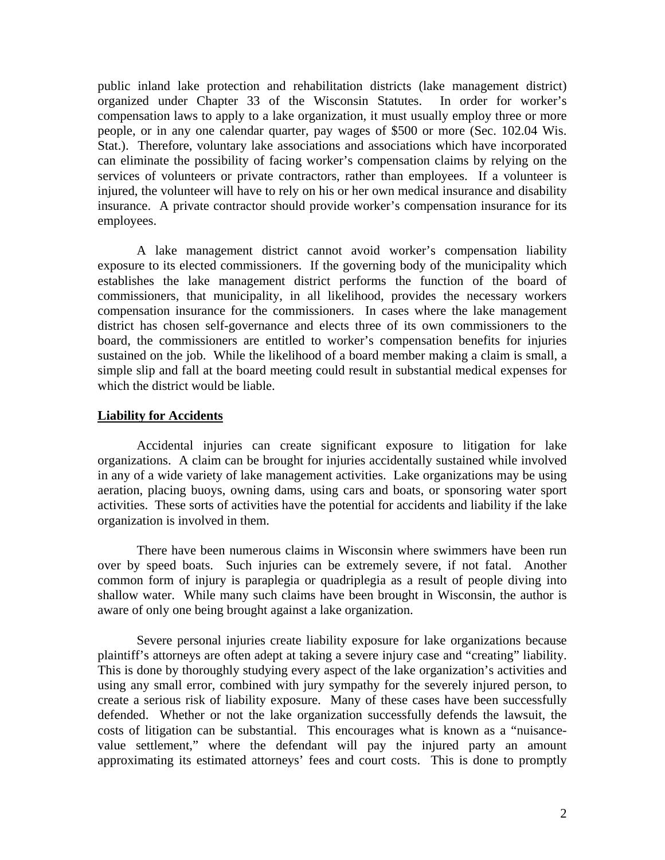public inland lake protection and rehabilitation districts (lake management district) organized under Chapter 33 of the Wisconsin Statutes. In order for worker's compensation laws to apply to a lake organization, it must usually employ three or more people, or in any one calendar quarter, pay wages of \$500 or more (Sec. 102.04 Wis. Stat.). Therefore, voluntary lake associations and associations which have incorporated can eliminate the possibility of facing worker's compensation claims by relying on the services of volunteers or private contractors, rather than employees. If a volunteer is injured, the volunteer will have to rely on his or her own medical insurance and disability insurance. A private contractor should provide worker's compensation insurance for its employees.

 A lake management district cannot avoid worker's compensation liability exposure to its elected commissioners. If the governing body of the municipality which establishes the lake management district performs the function of the board of commissioners, that municipality, in all likelihood, provides the necessary workers compensation insurance for the commissioners. In cases where the lake management district has chosen self-governance and elects three of its own commissioners to the board, the commissioners are entitled to worker's compensation benefits for injuries sustained on the job. While the likelihood of a board member making a claim is small, a simple slip and fall at the board meeting could result in substantial medical expenses for which the district would be liable.

# **Liability for Accidents**

 Accidental injuries can create significant exposure to litigation for lake organizations. A claim can be brought for injuries accidentally sustained while involved in any of a wide variety of lake management activities. Lake organizations may be using aeration, placing buoys, owning dams, using cars and boats, or sponsoring water sport activities. These sorts of activities have the potential for accidents and liability if the lake organization is involved in them.

 There have been numerous claims in Wisconsin where swimmers have been run over by speed boats. Such injuries can be extremely severe, if not fatal. Another common form of injury is paraplegia or quadriplegia as a result of people diving into shallow water. While many such claims have been brought in Wisconsin, the author is aware of only one being brought against a lake organization.

 Severe personal injuries create liability exposure for lake organizations because plaintiff's attorneys are often adept at taking a severe injury case and "creating" liability. This is done by thoroughly studying every aspect of the lake organization's activities and using any small error, combined with jury sympathy for the severely injured person, to create a serious risk of liability exposure. Many of these cases have been successfully defended. Whether or not the lake organization successfully defends the lawsuit, the costs of litigation can be substantial. This encourages what is known as a "nuisancevalue settlement," where the defendant will pay the injured party an amount approximating its estimated attorneys' fees and court costs. This is done to promptly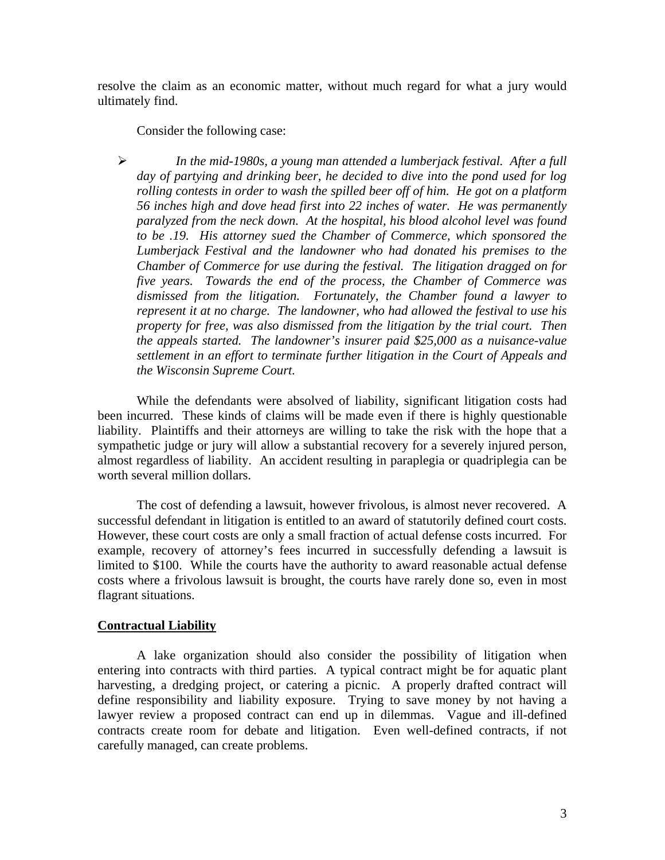resolve the claim as an economic matter, without much regard for what a jury would ultimately find.

Consider the following case:

¾ *In the mid-1980s, a young man attended a lumberjack festival. After a full day of partying and drinking beer, he decided to dive into the pond used for log rolling contests in order to wash the spilled beer off of him. He got on a platform 56 inches high and dove head first into 22 inches of water. He was permanently paralyzed from the neck down. At the hospital, his blood alcohol level was found to be .19. His attorney sued the Chamber of Commerce, which sponsored the Lumberjack Festival and the landowner who had donated his premises to the Chamber of Commerce for use during the festival. The litigation dragged on for five years. Towards the end of the process, the Chamber of Commerce was dismissed from the litigation. Fortunately, the Chamber found a lawyer to represent it at no charge. The landowner, who had allowed the festival to use his property for free, was also dismissed from the litigation by the trial court. Then the appeals started. The landowner's insurer paid \$25,000 as a nuisance-value settlement in an effort to terminate further litigation in the Court of Appeals and the Wisconsin Supreme Court.* 

 While the defendants were absolved of liability, significant litigation costs had been incurred. These kinds of claims will be made even if there is highly questionable liability. Plaintiffs and their attorneys are willing to take the risk with the hope that a sympathetic judge or jury will allow a substantial recovery for a severely injured person, almost regardless of liability. An accident resulting in paraplegia or quadriplegia can be worth several million dollars.

 The cost of defending a lawsuit, however frivolous, is almost never recovered. A successful defendant in litigation is entitled to an award of statutorily defined court costs. However, these court costs are only a small fraction of actual defense costs incurred. For example, recovery of attorney's fees incurred in successfully defending a lawsuit is limited to \$100. While the courts have the authority to award reasonable actual defense costs where a frivolous lawsuit is brought, the courts have rarely done so, even in most flagrant situations.

# **Contractual Liability**

 A lake organization should also consider the possibility of litigation when entering into contracts with third parties. A typical contract might be for aquatic plant harvesting, a dredging project, or catering a picnic. A properly drafted contract will define responsibility and liability exposure. Trying to save money by not having a lawyer review a proposed contract can end up in dilemmas. Vague and ill-defined contracts create room for debate and litigation. Even well-defined contracts, if not carefully managed, can create problems.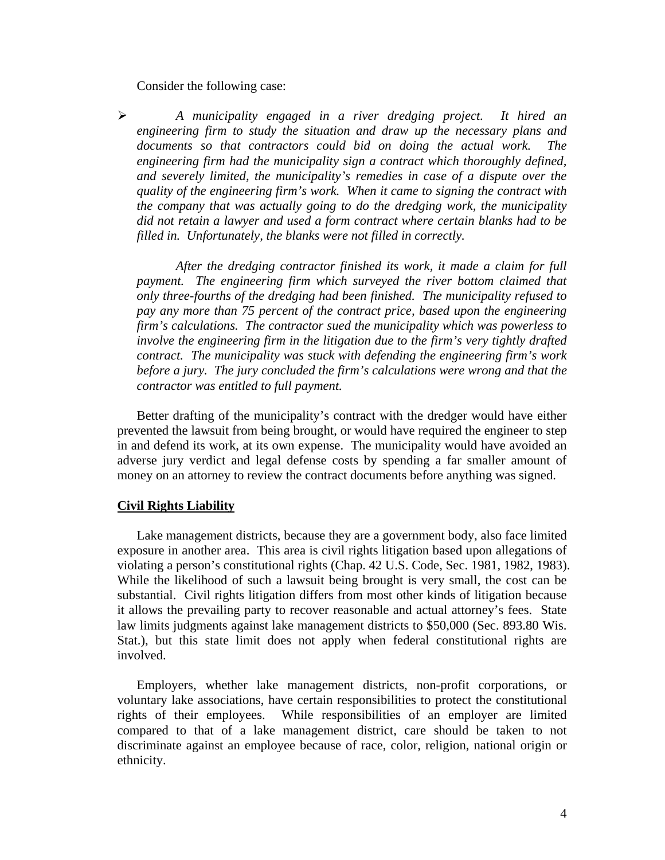Consider the following case:

¾ *A municipality engaged in a river dredging project. It hired an engineering firm to study the situation and draw up the necessary plans and documents so that contractors could bid on doing the actual work. The engineering firm had the municipality sign a contract which thoroughly defined, and severely limited, the municipality's remedies in case of a dispute over the quality of the engineering firm's work. When it came to signing the contract with the company that was actually going to do the dredging work, the municipality did not retain a lawyer and used a form contract where certain blanks had to be filled in. Unfortunately, the blanks were not filled in correctly.* 

 *After the dredging contractor finished its work, it made a claim for full payment. The engineering firm which surveyed the river bottom claimed that only three-fourths of the dredging had been finished. The municipality refused to pay any more than 75 percent of the contract price, based upon the engineering firm's calculations. The contractor sued the municipality which was powerless to involve the engineering firm in the litigation due to the firm's very tightly drafted contract. The municipality was stuck with defending the engineering firm's work before a jury. The jury concluded the firm's calculations were wrong and that the contractor was entitled to full payment.*

 Better drafting of the municipality's contract with the dredger would have either prevented the lawsuit from being brought, or would have required the engineer to step in and defend its work, at its own expense. The municipality would have avoided an adverse jury verdict and legal defense costs by spending a far smaller amount of money on an attorney to review the contract documents before anything was signed.

### **Civil Rights Liability**

 Lake management districts, because they are a government body, also face limited exposure in another area. This area is civil rights litigation based upon allegations of violating a person's constitutional rights (Chap. 42 U.S. Code, Sec. 1981, 1982, 1983). While the likelihood of such a lawsuit being brought is very small, the cost can be substantial. Civil rights litigation differs from most other kinds of litigation because it allows the prevailing party to recover reasonable and actual attorney's fees. State law limits judgments against lake management districts to \$50,000 (Sec. 893.80 Wis. Stat.), but this state limit does not apply when federal constitutional rights are involved.

 Employers, whether lake management districts, non-profit corporations, or voluntary lake associations, have certain responsibilities to protect the constitutional rights of their employees. While responsibilities of an employer are limited compared to that of a lake management district, care should be taken to not discriminate against an employee because of race, color, religion, national origin or ethnicity.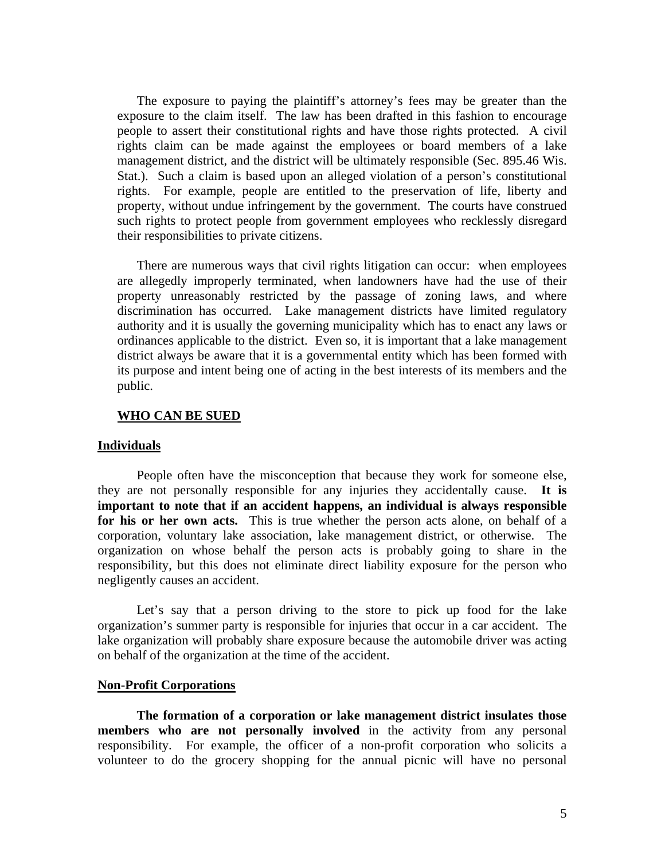The exposure to paying the plaintiff's attorney's fees may be greater than the exposure to the claim itself. The law has been drafted in this fashion to encourage people to assert their constitutional rights and have those rights protected. A civil rights claim can be made against the employees or board members of a lake management district, and the district will be ultimately responsible (Sec. 895.46 Wis. Stat.). Such a claim is based upon an alleged violation of a person's constitutional rights. For example, people are entitled to the preservation of life, liberty and property, without undue infringement by the government. The courts have construed such rights to protect people from government employees who recklessly disregard their responsibilities to private citizens.

 There are numerous ways that civil rights litigation can occur: when employees are allegedly improperly terminated, when landowners have had the use of their property unreasonably restricted by the passage of zoning laws, and where discrimination has occurred. Lake management districts have limited regulatory authority and it is usually the governing municipality which has to enact any laws or ordinances applicable to the district. Even so, it is important that a lake management district always be aware that it is a governmental entity which has been formed with its purpose and intent being one of acting in the best interests of its members and the public.

# **WHO CAN BE SUED**

### **Individuals**

 People often have the misconception that because they work for someone else, they are not personally responsible for any injuries they accidentally cause. **It is important to note that if an accident happens, an individual is always responsible for his or her own acts.** This is true whether the person acts alone, on behalf of a corporation, voluntary lake association, lake management district, or otherwise. The organization on whose behalf the person acts is probably going to share in the responsibility, but this does not eliminate direct liability exposure for the person who negligently causes an accident.

Let's say that a person driving to the store to pick up food for the lake organization's summer party is responsible for injuries that occur in a car accident. The lake organization will probably share exposure because the automobile driver was acting on behalf of the organization at the time of the accident.

### **Non-Profit Corporations**

**The formation of a corporation or lake management district insulates those members who are not personally involved** in the activity from any personal responsibility. For example, the officer of a non-profit corporation who solicits a volunteer to do the grocery shopping for the annual picnic will have no personal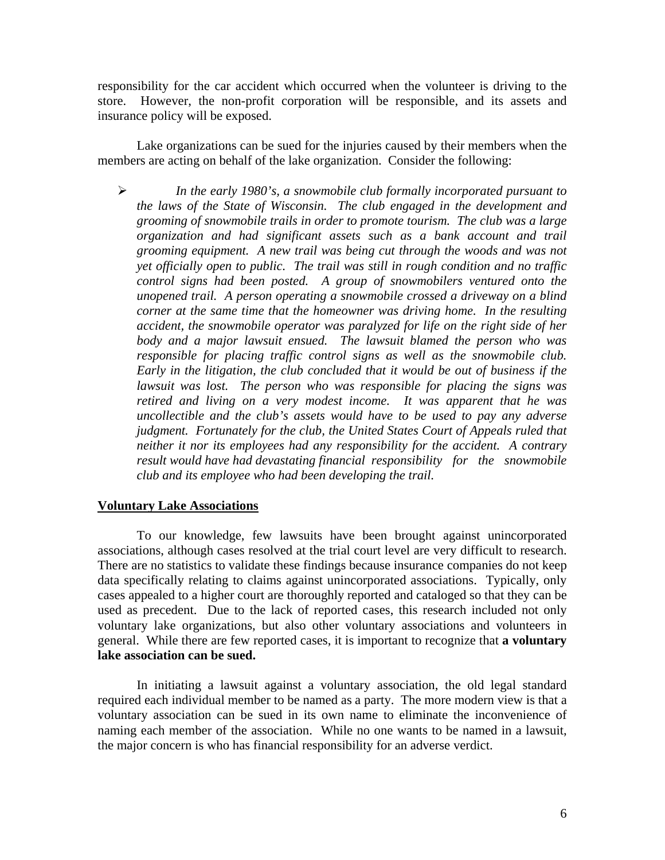responsibility for the car accident which occurred when the volunteer is driving to the store. However, the non-profit corporation will be responsible, and its assets and insurance policy will be exposed.

 Lake organizations can be sued for the injuries caused by their members when the members are acting on behalf of the lake organization. Consider the following:

¾ *In the early 1980's, a snowmobile club formally incorporated pursuant to the laws of the State of Wisconsin. The club engaged in the development and grooming of snowmobile trails in order to promote tourism. The club was a large organization and had significant assets such as a bank account and trail grooming equipment. A new trail was being cut through the woods and was not yet officially open to public. The trail was still in rough condition and no traffic control signs had been posted. A group of snowmobilers ventured onto the unopened trail. A person operating a snowmobile crossed a driveway on a blind corner at the same time that the homeowner was driving home. In the resulting accident, the snowmobile operator was paralyzed for life on the right side of her body and a major lawsuit ensued. The lawsuit blamed the person who was responsible for placing traffic control signs as well as the snowmobile club. Early in the litigation, the club concluded that it would be out of business if the lawsuit was lost. The person who was responsible for placing the signs was retired and living on a very modest income. It was apparent that he was uncollectible and the club's assets would have to be used to pay any adverse judgment. Fortunately for the club, the United States Court of Appeals ruled that neither it nor its employees had any responsibility for the accident. A contrary result would have had devastating financial responsibility for the snowmobile club and its employee who had been developing the trail.* 

### **Voluntary Lake Associations**

 To our knowledge, few lawsuits have been brought against unincorporated associations, although cases resolved at the trial court level are very difficult to research. There are no statistics to validate these findings because insurance companies do not keep data specifically relating to claims against unincorporated associations. Typically, only cases appealed to a higher court are thoroughly reported and cataloged so that they can be used as precedent. Due to the lack of reported cases, this research included not only voluntary lake organizations, but also other voluntary associations and volunteers in general. While there are few reported cases, it is important to recognize that **a voluntary lake association can be sued.** 

In initiating a lawsuit against a voluntary association, the old legal standard required each individual member to be named as a party. The more modern view is that a voluntary association can be sued in its own name to eliminate the inconvenience of naming each member of the association. While no one wants to be named in a lawsuit, the major concern is who has financial responsibility for an adverse verdict.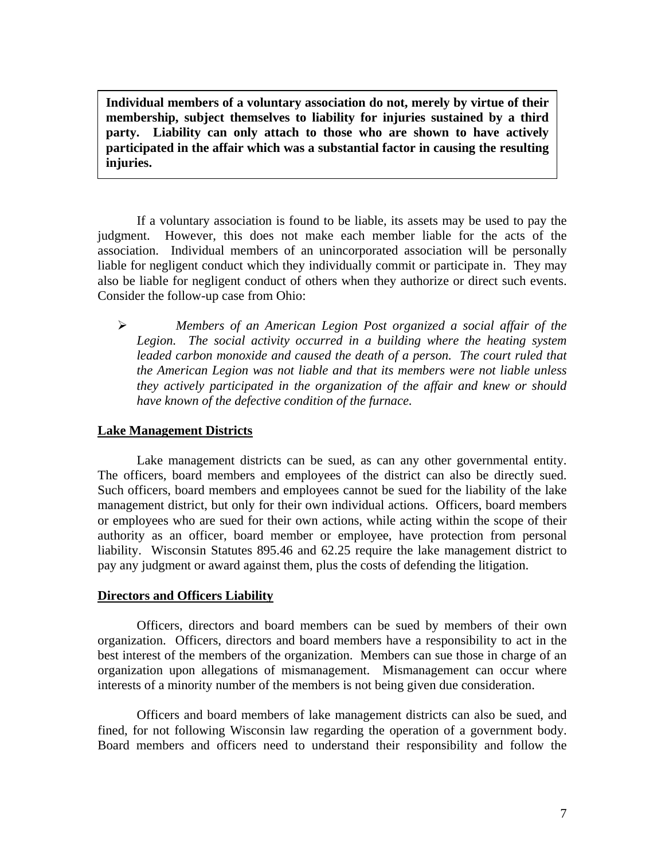**Individual members of a voluntary association do not, merely by virtue of their membership, subject themselves to liability for injuries sustained by a third party. Liability can only attach to those who are shown to have actively participated in the affair which was a substantial factor in causing the resulting injuries.** 

 If a voluntary association is found to be liable, its assets may be used to pay the judgment. However, this does not make each member liable for the acts of the association. Individual members of an unincorporated association will be personally liable for negligent conduct which they individually commit or participate in. They may also be liable for negligent conduct of others when they authorize or direct such events. Consider the follow-up case from Ohio:

¾ *Members of an American Legion Post organized a social affair of the Legion. The social activity occurred in a building where the heating system*  leaded carbon monoxide and caused the death of a person. The court ruled that *the American Legion was not liable and that its members were not liable unless they actively participated in the organization of the affair and knew or should have known of the defective condition of the furnace.* 

# **Lake Management Districts**

 Lake management districts can be sued, as can any other governmental entity. The officers, board members and employees of the district can also be directly sued. Such officers, board members and employees cannot be sued for the liability of the lake management district, but only for their own individual actions. Officers, board members or employees who are sued for their own actions, while acting within the scope of their authority as an officer, board member or employee, have protection from personal liability. Wisconsin Statutes 895.46 and 62.25 require the lake management district to pay any judgment or award against them, plus the costs of defending the litigation.

# **Directors and Officers Liability**

 Officers, directors and board members can be sued by members of their own organization. Officers, directors and board members have a responsibility to act in the best interest of the members of the organization. Members can sue those in charge of an organization upon allegations of mismanagement. Mismanagement can occur where interests of a minority number of the members is not being given due consideration.

 Officers and board members of lake management districts can also be sued, and fined, for not following Wisconsin law regarding the operation of a government body. Board members and officers need to understand their responsibility and follow the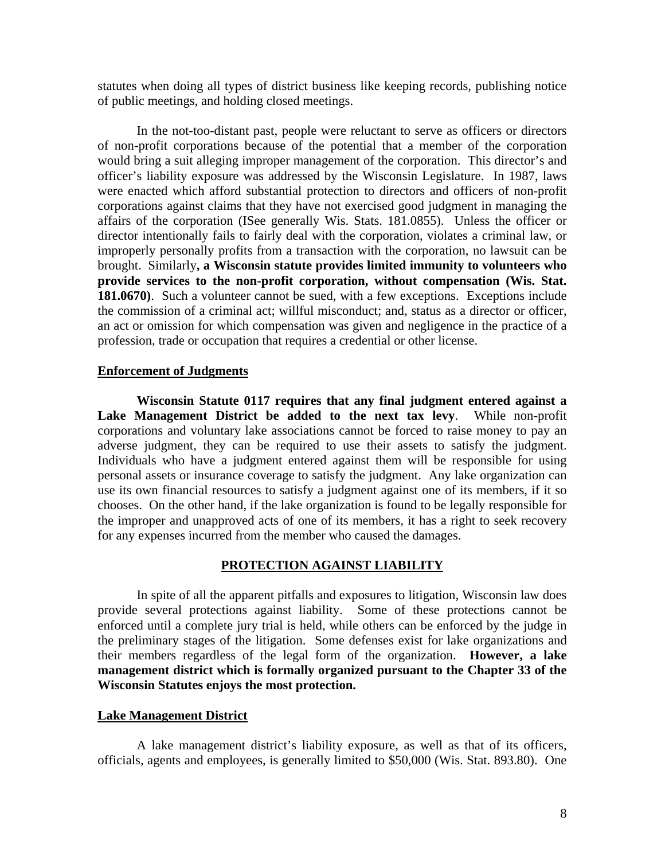statutes when doing all types of district business like keeping records, publishing notice of public meetings, and holding closed meetings.

 In the not-too-distant past, people were reluctant to serve as officers or directors of non-profit corporations because of the potential that a member of the corporation would bring a suit alleging improper management of the corporation. This director's and officer's liability exposure was addressed by the Wisconsin Legislature. In 1987, laws were enacted which afford substantial protection to directors and officers of non-profit corporations against claims that they have not exercised good judgment in managing the affairs of the corporation (ISee generally Wis. Stats. 181.0855). Unless the officer or director intentionally fails to fairly deal with the corporation, violates a criminal law, or improperly personally profits from a transaction with the corporation, no lawsuit can be brought. Similarly**, a Wisconsin statute provides limited immunity to volunteers who provide services to the non-profit corporation, without compensation (Wis. Stat. 181.0670)**. Such a volunteer cannot be sued, with a few exceptions. Exceptions include the commission of a criminal act; willful misconduct; and, status as a director or officer, an act or omission for which compensation was given and negligence in the practice of a profession, trade or occupation that requires a credential or other license.

## **Enforcement of Judgments**

**Wisconsin Statute 0117 requires that any final judgment entered against a Lake Management District be added to the next tax levy**. While non-profit corporations and voluntary lake associations cannot be forced to raise money to pay an adverse judgment, they can be required to use their assets to satisfy the judgment. Individuals who have a judgment entered against them will be responsible for using personal assets or insurance coverage to satisfy the judgment. Any lake organization can use its own financial resources to satisfy a judgment against one of its members, if it so chooses. On the other hand, if the lake organization is found to be legally responsible for the improper and unapproved acts of one of its members, it has a right to seek recovery for any expenses incurred from the member who caused the damages.

### **PROTECTION AGAINST LIABILITY**

 In spite of all the apparent pitfalls and exposures to litigation, Wisconsin law does provide several protections against liability. Some of these protections cannot be enforced until a complete jury trial is held, while others can be enforced by the judge in the preliminary stages of the litigation. Some defenses exist for lake organizations and their members regardless of the legal form of the organization. **However, a lake management district which is formally organized pursuant to the Chapter 33 of the Wisconsin Statutes enjoys the most protection.** 

# **Lake Management District**

 A lake management district's liability exposure, as well as that of its officers, officials, agents and employees, is generally limited to \$50,000 (Wis. Stat. 893.80). One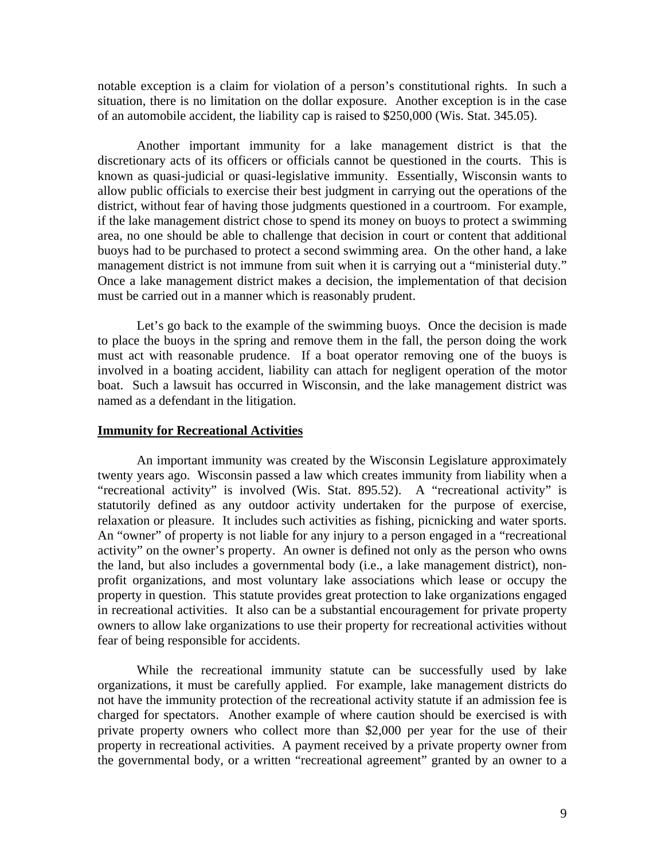notable exception is a claim for violation of a person's constitutional rights. In such a situation, there is no limitation on the dollar exposure. Another exception is in the case of an automobile accident, the liability cap is raised to \$250,000 (Wis. Stat. 345.05).

 Another important immunity for a lake management district is that the discretionary acts of its officers or officials cannot be questioned in the courts. This is known as quasi-judicial or quasi-legislative immunity. Essentially, Wisconsin wants to allow public officials to exercise their best judgment in carrying out the operations of the district, without fear of having those judgments questioned in a courtroom. For example, if the lake management district chose to spend its money on buoys to protect a swimming area, no one should be able to challenge that decision in court or content that additional buoys had to be purchased to protect a second swimming area. On the other hand, a lake management district is not immune from suit when it is carrying out a "ministerial duty." Once a lake management district makes a decision, the implementation of that decision must be carried out in a manner which is reasonably prudent.

Let's go back to the example of the swimming buoys. Once the decision is made to place the buoys in the spring and remove them in the fall, the person doing the work must act with reasonable prudence. If a boat operator removing one of the buoys is involved in a boating accident, liability can attach for negligent operation of the motor boat. Such a lawsuit has occurred in Wisconsin, and the lake management district was named as a defendant in the litigation.

## **Immunity for Recreational Activities**

 An important immunity was created by the Wisconsin Legislature approximately twenty years ago. Wisconsin passed a law which creates immunity from liability when a "recreational activity" is involved (Wis. Stat. 895.52). A "recreational activity" is statutorily defined as any outdoor activity undertaken for the purpose of exercise, relaxation or pleasure. It includes such activities as fishing, picnicking and water sports. An "owner" of property is not liable for any injury to a person engaged in a "recreational activity" on the owner's property. An owner is defined not only as the person who owns the land, but also includes a governmental body (i.e., a lake management district), nonprofit organizations, and most voluntary lake associations which lease or occupy the property in question. This statute provides great protection to lake organizations engaged in recreational activities. It also can be a substantial encouragement for private property owners to allow lake organizations to use their property for recreational activities without fear of being responsible for accidents.

 While the recreational immunity statute can be successfully used by lake organizations, it must be carefully applied. For example, lake management districts do not have the immunity protection of the recreational activity statute if an admission fee is charged for spectators. Another example of where caution should be exercised is with private property owners who collect more than \$2,000 per year for the use of their property in recreational activities. A payment received by a private property owner from the governmental body, or a written "recreational agreement" granted by an owner to a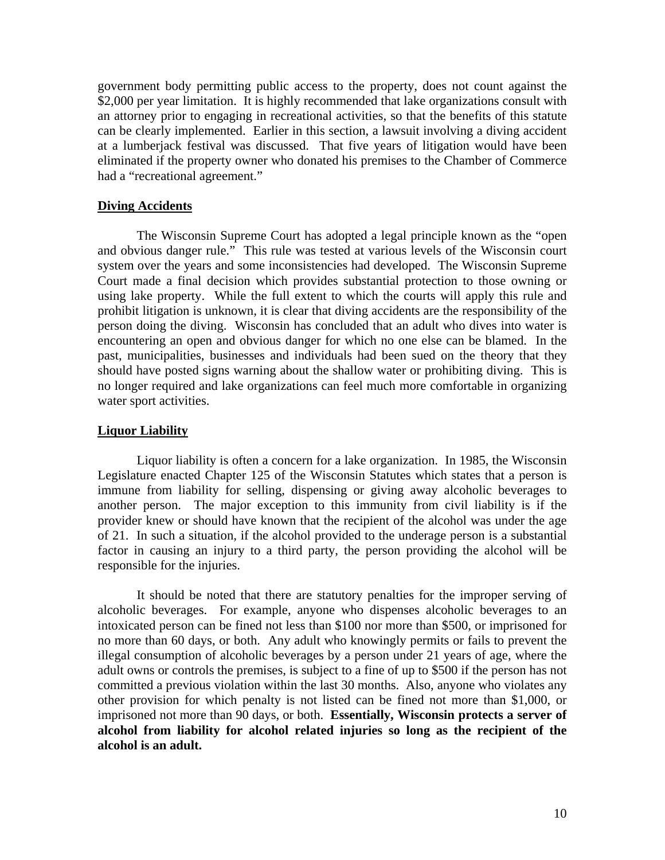government body permitting public access to the property, does not count against the \$2,000 per year limitation. It is highly recommended that lake organizations consult with an attorney prior to engaging in recreational activities, so that the benefits of this statute can be clearly implemented. Earlier in this section, a lawsuit involving a diving accident at a lumberjack festival was discussed. That five years of litigation would have been eliminated if the property owner who donated his premises to the Chamber of Commerce had a "recreational agreement."

# **Diving Accidents**

 The Wisconsin Supreme Court has adopted a legal principle known as the "open and obvious danger rule." This rule was tested at various levels of the Wisconsin court system over the years and some inconsistencies had developed. The Wisconsin Supreme Court made a final decision which provides substantial protection to those owning or using lake property. While the full extent to which the courts will apply this rule and prohibit litigation is unknown, it is clear that diving accidents are the responsibility of the person doing the diving. Wisconsin has concluded that an adult who dives into water is encountering an open and obvious danger for which no one else can be blamed. In the past, municipalities, businesses and individuals had been sued on the theory that they should have posted signs warning about the shallow water or prohibiting diving. This is no longer required and lake organizations can feel much more comfortable in organizing water sport activities.

# **Liquor Liability**

 Liquor liability is often a concern for a lake organization. In 1985, the Wisconsin Legislature enacted Chapter 125 of the Wisconsin Statutes which states that a person is immune from liability for selling, dispensing or giving away alcoholic beverages to another person. The major exception to this immunity from civil liability is if the provider knew or should have known that the recipient of the alcohol was under the age of 21. In such a situation, if the alcohol provided to the underage person is a substantial factor in causing an injury to a third party, the person providing the alcohol will be responsible for the injuries.

 It should be noted that there are statutory penalties for the improper serving of alcoholic beverages. For example, anyone who dispenses alcoholic beverages to an intoxicated person can be fined not less than \$100 nor more than \$500, or imprisoned for no more than 60 days, or both. Any adult who knowingly permits or fails to prevent the illegal consumption of alcoholic beverages by a person under 21 years of age, where the adult owns or controls the premises, is subject to a fine of up to \$500 if the person has not committed a previous violation within the last 30 months. Also, anyone who violates any other provision for which penalty is not listed can be fined not more than \$1,000, or imprisoned not more than 90 days, or both. **Essentially, Wisconsin protects a server of alcohol from liability for alcohol related injuries so long as the recipient of the alcohol is an adult.**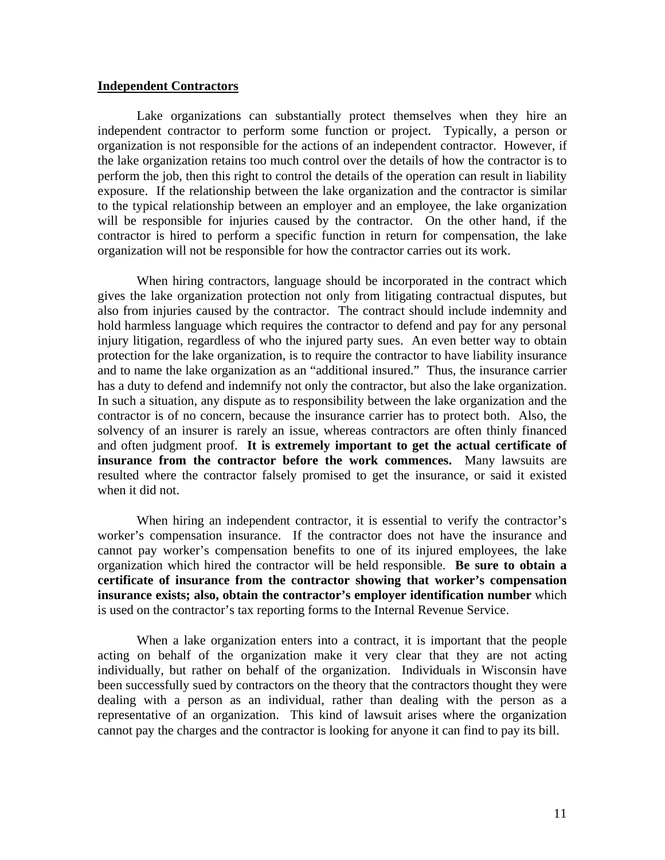### **Independent Contractors**

 Lake organizations can substantially protect themselves when they hire an independent contractor to perform some function or project. Typically, a person or organization is not responsible for the actions of an independent contractor. However, if the lake organization retains too much control over the details of how the contractor is to perform the job, then this right to control the details of the operation can result in liability exposure. If the relationship between the lake organization and the contractor is similar to the typical relationship between an employer and an employee, the lake organization will be responsible for injuries caused by the contractor. On the other hand, if the contractor is hired to perform a specific function in return for compensation, the lake organization will not be responsible for how the contractor carries out its work.

 When hiring contractors, language should be incorporated in the contract which gives the lake organization protection not only from litigating contractual disputes, but also from injuries caused by the contractor. The contract should include indemnity and hold harmless language which requires the contractor to defend and pay for any personal injury litigation, regardless of who the injured party sues. An even better way to obtain protection for the lake organization, is to require the contractor to have liability insurance and to name the lake organization as an "additional insured." Thus, the insurance carrier has a duty to defend and indemnify not only the contractor, but also the lake organization. In such a situation, any dispute as to responsibility between the lake organization and the contractor is of no concern, because the insurance carrier has to protect both. Also, the solvency of an insurer is rarely an issue, whereas contractors are often thinly financed and often judgment proof. **It is extremely important to get the actual certificate of insurance from the contractor before the work commences.** Many lawsuits are resulted where the contractor falsely promised to get the insurance, or said it existed when it did not.

 When hiring an independent contractor, it is essential to verify the contractor's worker's compensation insurance. If the contractor does not have the insurance and cannot pay worker's compensation benefits to one of its injured employees, the lake organization which hired the contractor will be held responsible. **Be sure to obtain a certificate of insurance from the contractor showing that worker's compensation insurance exists; also, obtain the contractor's employer identification number** which is used on the contractor's tax reporting forms to the Internal Revenue Service.

 When a lake organization enters into a contract, it is important that the people acting on behalf of the organization make it very clear that they are not acting individually, but rather on behalf of the organization. Individuals in Wisconsin have been successfully sued by contractors on the theory that the contractors thought they were dealing with a person as an individual, rather than dealing with the person as a representative of an organization. This kind of lawsuit arises where the organization cannot pay the charges and the contractor is looking for anyone it can find to pay its bill.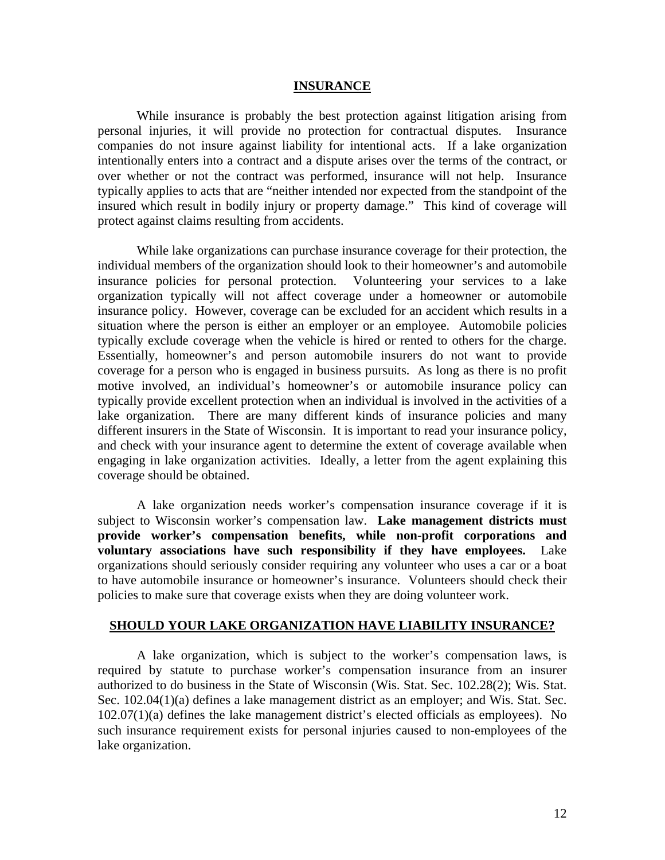#### **INSURANCE**

 While insurance is probably the best protection against litigation arising from personal injuries, it will provide no protection for contractual disputes. Insurance companies do not insure against liability for intentional acts. If a lake organization intentionally enters into a contract and a dispute arises over the terms of the contract, or over whether or not the contract was performed, insurance will not help. Insurance typically applies to acts that are "neither intended nor expected from the standpoint of the insured which result in bodily injury or property damage." This kind of coverage will protect against claims resulting from accidents.

 While lake organizations can purchase insurance coverage for their protection, the individual members of the organization should look to their homeowner's and automobile insurance policies for personal protection. Volunteering your services to a lake organization typically will not affect coverage under a homeowner or automobile insurance policy. However, coverage can be excluded for an accident which results in a situation where the person is either an employer or an employee. Automobile policies typically exclude coverage when the vehicle is hired or rented to others for the charge. Essentially, homeowner's and person automobile insurers do not want to provide coverage for a person who is engaged in business pursuits. As long as there is no profit motive involved, an individual's homeowner's or automobile insurance policy can typically provide excellent protection when an individual is involved in the activities of a lake organization. There are many different kinds of insurance policies and many different insurers in the State of Wisconsin. It is important to read your insurance policy, and check with your insurance agent to determine the extent of coverage available when engaging in lake organization activities. Ideally, a letter from the agent explaining this coverage should be obtained.

 A lake organization needs worker's compensation insurance coverage if it is subject to Wisconsin worker's compensation law. **Lake management districts must provide worker's compensation benefits, while non-profit corporations and voluntary associations have such responsibility if they have employees.** Lake organizations should seriously consider requiring any volunteer who uses a car or a boat to have automobile insurance or homeowner's insurance. Volunteers should check their policies to make sure that coverage exists when they are doing volunteer work.

#### **SHOULD YOUR LAKE ORGANIZATION HAVE LIABILITY INSURANCE?**

 A lake organization, which is subject to the worker's compensation laws, is required by statute to purchase worker's compensation insurance from an insurer authorized to do business in the State of Wisconsin (Wis. Stat. Sec. 102.28(2); Wis. Stat. Sec. 102.04(1)(a) defines a lake management district as an employer; and Wis. Stat. Sec. 102.07(1)(a) defines the lake management district's elected officials as employees). No such insurance requirement exists for personal injuries caused to non-employees of the lake organization.